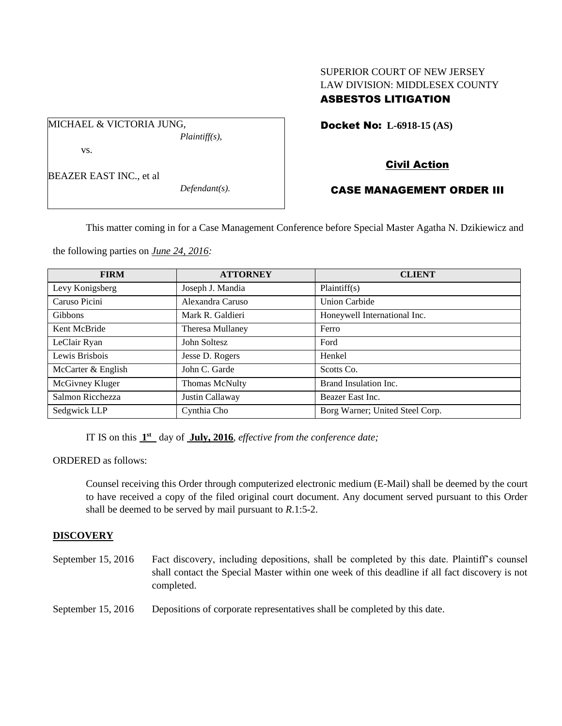## SUPERIOR COURT OF NEW JERSEY LAW DIVISION: MIDDLESEX COUNTY ASBESTOS LITIGATION

Docket No: **L-6918-15 (AS)** 

vs.

BEAZER EAST INC., et al

MICHAEL & VICTORIA JUNG,

*Defendant(s).*

*Plaintiff(s),*

# Civil Action

### CASE MANAGEMENT ORDER III

This matter coming in for a Case Management Conference before Special Master Agatha N. Dzikiewicz and

the following parties on *June 24, 2016:*

| <b>FIRM</b>        | <b>ATTORNEY</b>  | <b>CLIENT</b>                   |
|--------------------|------------------|---------------------------------|
| Levy Konigsberg    | Joseph J. Mandia | Plaintiff(s)                    |
| Caruso Picini      | Alexandra Caruso | <b>Union Carbide</b>            |
| <b>Gibbons</b>     | Mark R. Galdieri | Honeywell International Inc.    |
| Kent McBride       | Theresa Mullaney | Ferro                           |
| LeClair Ryan       | John Soltesz     | Ford                            |
| Lewis Brisbois     | Jesse D. Rogers  | Henkel                          |
| McCarter & English | John C. Garde    | Scotts Co.                      |
| McGivney Kluger    | Thomas McNulty   | Brand Insulation Inc.           |
| Salmon Ricchezza   | Justin Callaway  | Beazer East Inc.                |
| Sedgwick LLP       | Cynthia Cho      | Borg Warner; United Steel Corp. |

IT IS on this  $1<sup>st</sup>$  day of July, 2016, *effective from the conference date*;

ORDERED as follows:

Counsel receiving this Order through computerized electronic medium (E-Mail) shall be deemed by the court to have received a copy of the filed original court document. Any document served pursuant to this Order shall be deemed to be served by mail pursuant to *R*.1:5-2.

#### **DISCOVERY**

| September $15, 2016$ | Fact discovery, including depositions, shall be completed by this date. Plaintiff's counsel    |
|----------------------|------------------------------------------------------------------------------------------------|
|                      | shall contact the Special Master within one week of this deadline if all fact discovery is not |
|                      | completed.                                                                                     |
|                      |                                                                                                |

September 15, 2016 Depositions of corporate representatives shall be completed by this date.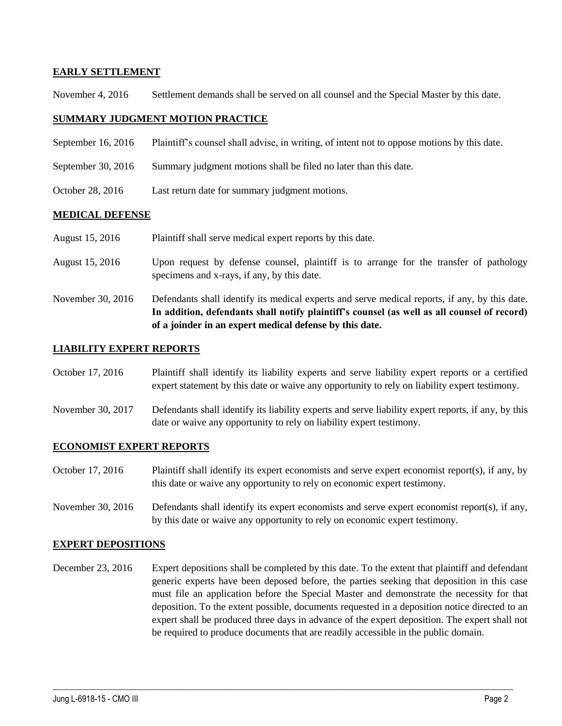#### **EARLY SETTLEMENT**

November 4, 2016 Settlement demands shall be served on all counsel and the Special Master by this date.

#### **SUMMARY JUDGMENT MOTION PRACTICE**

- September 16, 2016 Plaintiff's counsel shall advise, in writing, of intent not to oppose motions by this date.
- September 30, 2016 Summary judgment motions shall be filed no later than this date.
- October 28, 2016 Last return date for summary judgment motions.

#### **MEDICAL DEFENSE**

- August 15, 2016 Plaintiff shall serve medical expert reports by this date.
- August 15, 2016 Upon request by defense counsel, plaintiff is to arrange for the transfer of pathology specimens and x-rays, if any, by this date.
- November 30, 2016 Defendants shall identify its medical experts and serve medical reports, if any, by this date. **In addition, defendants shall notify plaintiff's counsel (as well as all counsel of record) of a joinder in an expert medical defense by this date.**

#### **LIABILITY EXPERT REPORTS**

- October 17, 2016 Plaintiff shall identify its liability experts and serve liability expert reports or a certified expert statement by this date or waive any opportunity to rely on liability expert testimony.
- November 30, 2017 Defendants shall identify its liability experts and serve liability expert reports, if any, by this date or waive any opportunity to rely on liability expert testimony.

#### **ECONOMIST EXPERT REPORTS**

- October 17, 2016 Plaintiff shall identify its expert economists and serve expert economist report(s), if any, by this date or waive any opportunity to rely on economic expert testimony.
- November 30, 2016 Defendants shall identify its expert economists and serve expert economist report(s), if any, by this date or waive any opportunity to rely on economic expert testimony.

#### **EXPERT DEPOSITIONS**

December 23, 2016 Expert depositions shall be completed by this date. To the extent that plaintiff and defendant generic experts have been deposed before, the parties seeking that deposition in this case must file an application before the Special Master and demonstrate the necessity for that deposition. To the extent possible, documents requested in a deposition notice directed to an expert shall be produced three days in advance of the expert deposition. The expert shall not be required to produce documents that are readily accessible in the public domain.

 $\_$  , and the set of the set of the set of the set of the set of the set of the set of the set of the set of the set of the set of the set of the set of the set of the set of the set of the set of the set of the set of th